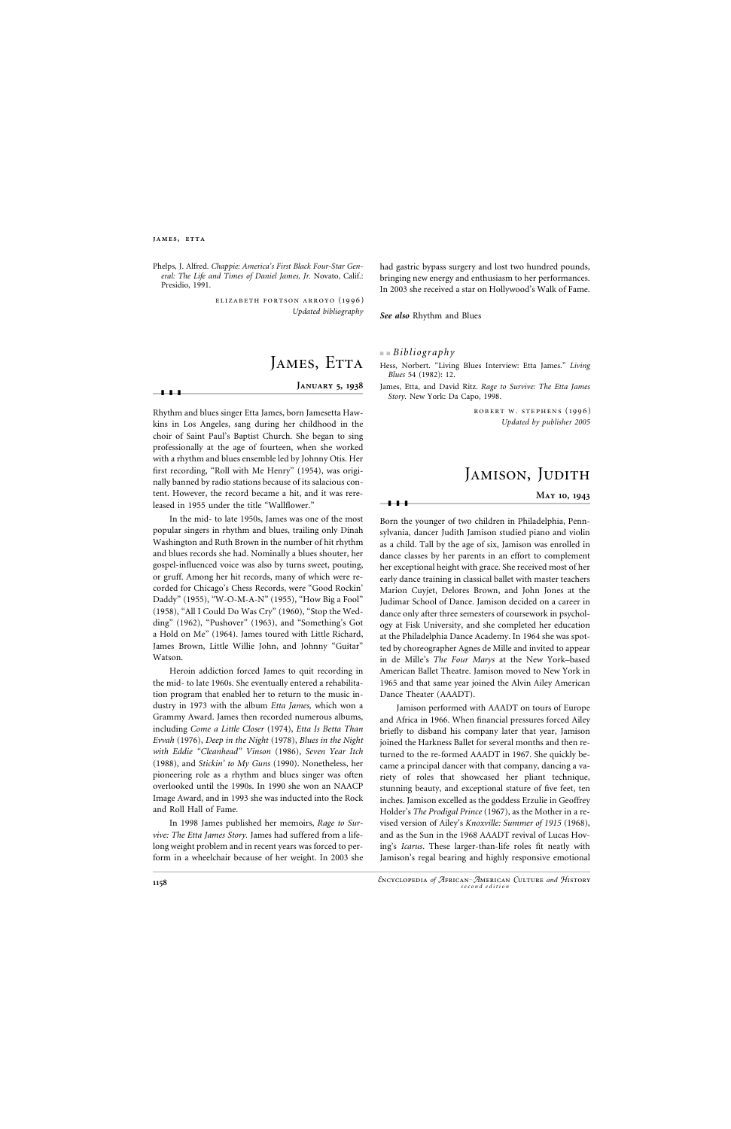Phelps, J. Alfred. *Chappie: America's First Black Four-Star General: The Life and Times of Daniel James, Jr.* Novato, Calif.: Presidio, 1991.

# JAMES, ETTA **January 5, 1938**

 $-$ 

elizabeth fortson arroyo (1996) *Updated bibliography*

Rhythm and blues singer Etta James, born Jamesetta Hawkins in Los Angeles, sang during her childhood in the choir of Saint Paul's Baptist Church. She began to sing professionally at the age of fourteen, when she worked with a rhythm and blues ensemble led by Johnny Otis. Her first recording, "Roll with Me Henry" (1954), was originally banned by radio stations because of its salacious content. However, the record became a hit, and it was rereleased in 1955 under the title "Wallflower."

In the mid- to late 1950s, James was one of the most popular singers in rhythm and blues, trailing only Dinah Washington and Ruth Brown in the number of hit rhythm and blues records she had. Nominally a blues shouter, her gospel-influenced voice was also by turns sweet, pouting, or gruff. Among her hit records, many of which were recorded for Chicago's Chess Records, were "Good Rockin' Daddy" (1955), "W-O-M-A-N" (1955), "How Big a Fool" (1958), "All I Could Do Was Cry" (1960), "Stop the Wedding" (1962), "Pushover" (1963), and "Something's Got a Hold on Me" (1964). James toured with Little Richard, James Brown, Little Willie John, and Johnny "Guitar" Watson.

Heroin addiction forced James to quit recording in the mid- to late 1960s. She eventually entered a rehabilitation program that enabled her to return to the music industry in 1973 with the album *Etta James,* which won a Grammy Award. James then recorded numerous albums, including *Come a Little Closer* (1974), *Etta Is Betta Than Evvah* (1976), *Deep in the Night* (1978), *Blues in the Night with Eddie "Cleanhead" Vinson* (1986), *Seven Year Itch* (1988), and *Stickin' to My Guns* (1990). Nonetheless, her pioneering role as a rhythm and blues singer was often overlooked until the 1990s. In 1990 she won an NAACP Image Award, and in 1993 she was inducted into the Rock and Roll Hall of Fame.

In 1998 James published her memoirs, *Rage to Sur-*

*vive: The Etta James Story.* James had suffered from a lifelong weight problem and in recent years was forced to perform in a wheelchair because of her weight. In 2003 she

had gastric bypass surgery and lost two hundred pounds, bringing new energy and enthusiasm to her performances. In 2003 she received a star on Hollywood's Walk of Fame.

*See also* Rhythm and Blues

■ ■ *Bibliography*

- Hess, Norbert. "Living Blues Interview: Etta James." *Living Blues* 54 (1982): 12.
- James, Etta, and David Ritz. *Rage to Survive: The Etta James Story.* New York: Da Capo, 1998.

robert w. stephens (1996) *Updated by publisher 2005*

# Jamison, Judith

**May 10, 1943**

❚❚❚

Born the younger of two children in Philadelphia, Pennsylvania, dancer Judith Jamison studied piano and violin as a child. Tall by the age of six, Jamison was enrolled in dance classes by her parents in an effort to complement her exceptional height with grace. She received most of her early dance training in classical ballet with master teachers Marion Cuyjet, Delores Brown, and John Jones at the Judimar School of Dance. Jamison decided on a career in dance only after three semesters of coursework in psychology at Fisk University, and she completed her education at the Philadelphia Dance Academy. In 1964 she was spotted by choreographer Agnes de Mille and invited to appear in de Mille's *The Four Marys* at the New York–based American Ballet Theatre. Jamison moved to New York in 1965 and that same year joined the Alvin Ailey American Dance Theater (AAADT).

Jamison performed with AAADT on tours of Europe and Africa in 1966. When financial pressures forced Ailey briefly to disband his company later that year, Jamison joined the Harkness Ballet for several months and then returned to the re-formed AAADT in 1967. She quickly became a principal dancer with that company, dancing a variety of roles that showcased her pliant technique, stunning beauty, and exceptional stature of five feet, ten inches. Jamison excelled as the goddess Erzulie in Geoffrey Holder's *The Prodigal Prince* (1967), as the Mother in a revised version of Ailey's *Knoxville: Summer of 1915* (1968),

and as the Sun in the 1968 AAADT revival of Lucas Hoving's *Icarus*. These larger-than-life roles fit neatly with Jamison's regal bearing and highly responsive emotional

### **james, etta**

*<sup>E</sup>*ncyclopedia *of <sup>A</sup>*frican*A*merican *<sup>C</sup>*ulture *and <sup>H</sup>*istory **<sup>1158</sup>** *second edition*